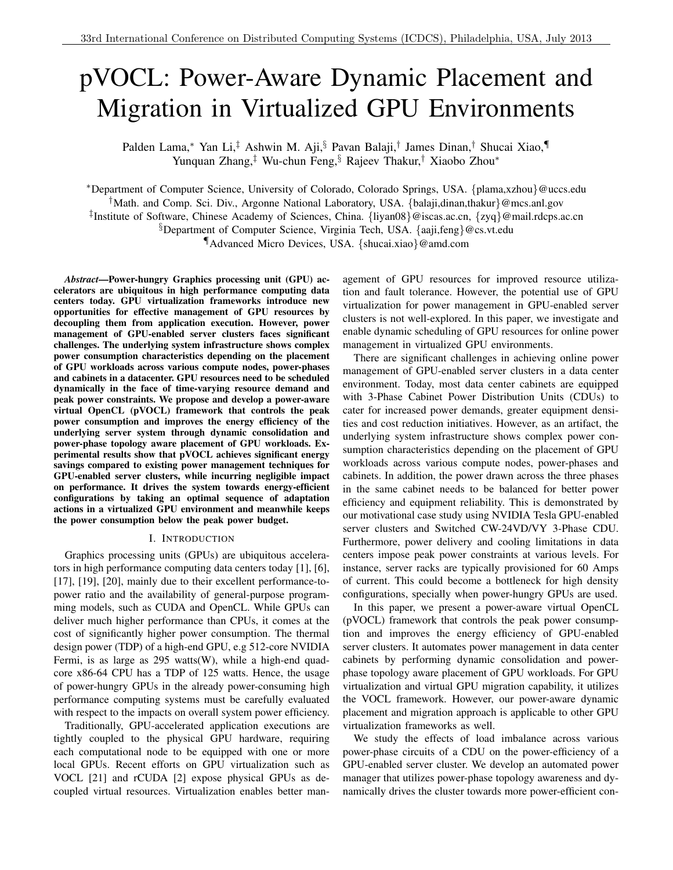# pVOCL: Power-Aware Dynamic Placement and Migration in Virtualized GPU Environments

Palden Lama,<sup>∗</sup> Yan Li,‡ Ashwin M. Aji,§ Pavan Balaji,† James Dinan,† Shucai Xiao,¶ Yunquan Zhang,‡ Wu-chun Feng,§ Rajeev Thakur,† Xiaobo Zhou<sup>∗</sup>

<sup>∗</sup>Department of Computer Science, University of Colorado, Colorado Springs, USA. {plama,xzhou}@uccs.edu †Math. and Comp. Sci. Div., Argonne National Laboratory, USA. {balaji,dinan,thakur}@mcs.anl.gov ‡ Institute of Software, Chinese Academy of Sciences, China. {liyan08}@iscas.ac.cn, {zyq}@mail.rdcps.ac.cn §Department of Computer Science, Virginia Tech, USA. {aaji,feng}@cs.vt.edu ¶Advanced Micro Devices, USA. {shucai.xiao}@amd.com

*Abstract*—Power-hungry Graphics processing unit (GPU) accelerators are ubiquitous in high performance computing data centers today. GPU virtualization frameworks introduce new opportunities for effective management of GPU resources by decoupling them from application execution. However, power management of GPU-enabled server clusters faces significant challenges. The underlying system infrastructure shows complex power consumption characteristics depending on the placement of GPU workloads across various compute nodes, power-phases and cabinets in a datacenter. GPU resources need to be scheduled dynamically in the face of time-varying resource demand and peak power constraints. We propose and develop a power-aware virtual OpenCL (pVOCL) framework that controls the peak power consumption and improves the energy efficiency of the underlying server system through dynamic consolidation and power-phase topology aware placement of GPU workloads. Experimental results show that pVOCL achieves significant energy savings compared to existing power management techniques for GPU-enabled server clusters, while incurring negligible impact on performance. It drives the system towards energy-efficient configurations by taking an optimal sequence of adaptation actions in a virtualized GPU environment and meanwhile keeps the power consumption below the peak power budget.

#### I. INTRODUCTION

Graphics processing units (GPUs) are ubiquitous accelerators in high performance computing data centers today [1], [6], [17], [19], [20], mainly due to their excellent performance-topower ratio and the availability of general-purpose programming models, such as CUDA and OpenCL. While GPUs can deliver much higher performance than CPUs, it comes at the cost of significantly higher power consumption. The thermal design power (TDP) of a high-end GPU, e.g 512-core NVIDIA Fermi, is as large as 295 watts(W), while a high-end quadcore x86-64 CPU has a TDP of 125 watts. Hence, the usage of power-hungry GPUs in the already power-consuming high performance computing systems must be carefully evaluated with respect to the impacts on overall system power efficiency.

Traditionally, GPU-accelerated application executions are tightly coupled to the physical GPU hardware, requiring each computational node to be equipped with one or more local GPUs. Recent efforts on GPU virtualization such as VOCL [21] and rCUDA [2] expose physical GPUs as decoupled virtual resources. Virtualization enables better management of GPU resources for improved resource utilization and fault tolerance. However, the potential use of GPU virtualization for power management in GPU-enabled server clusters is not well-explored. In this paper, we investigate and enable dynamic scheduling of GPU resources for online power management in virtualized GPU environments.

There are significant challenges in achieving online power management of GPU-enabled server clusters in a data center environment. Today, most data center cabinets are equipped with 3-Phase Cabinet Power Distribution Units (CDUs) to cater for increased power demands, greater equipment densities and cost reduction initiatives. However, as an artifact, the underlying system infrastructure shows complex power consumption characteristics depending on the placement of GPU workloads across various compute nodes, power-phases and cabinets. In addition, the power drawn across the three phases in the same cabinet needs to be balanced for better power efficiency and equipment reliability. This is demonstrated by our motivational case study using NVIDIA Tesla GPU-enabled server clusters and Switched CW-24VD/VY 3-Phase CDU. Furthermore, power delivery and cooling limitations in data centers impose peak power constraints at various levels. For instance, server racks are typically provisioned for 60 Amps of current. This could become a bottleneck for high density configurations, specially when power-hungry GPUs are used.

In this paper, we present a power-aware virtual OpenCL (pVOCL) framework that controls the peak power consumption and improves the energy efficiency of GPU-enabled server clusters. It automates power management in data center cabinets by performing dynamic consolidation and powerphase topology aware placement of GPU workloads. For GPU virtualization and virtual GPU migration capability, it utilizes the VOCL framework. However, our power-aware dynamic placement and migration approach is applicable to other GPU virtualization frameworks as well.

We study the effects of load imbalance across various power-phase circuits of a CDU on the power-efficiency of a GPU-enabled server cluster. We develop an automated power manager that utilizes power-phase topology awareness and dynamically drives the cluster towards more power-efficient con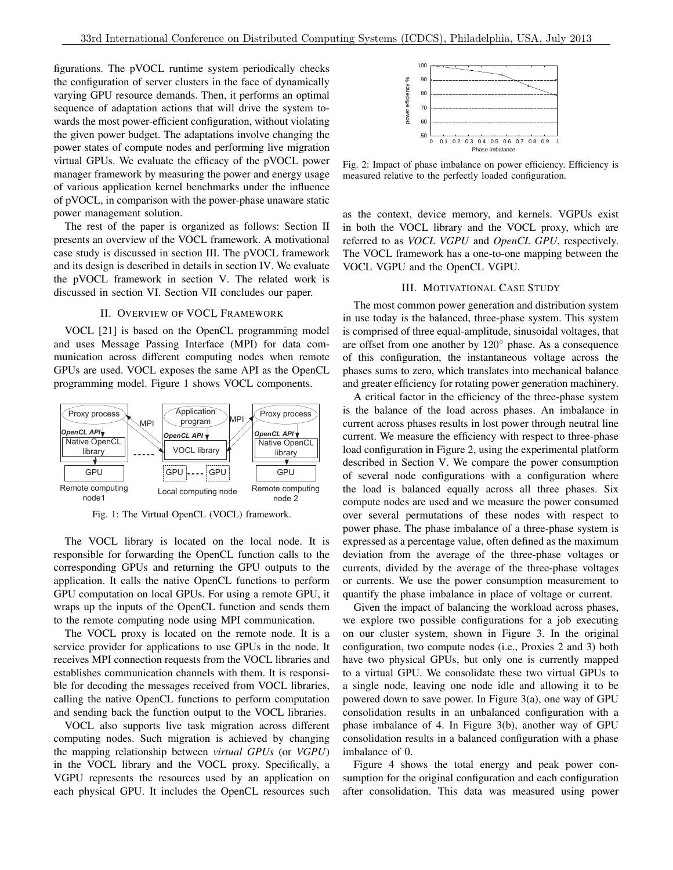figurations. The pVOCL runtime system periodically checks the configuration of server clusters in the face of dynamically varying GPU resource demands. Then, it performs an optimal sequence of adaptation actions that will drive the system towards the most power-efficient configuration, without violating the given power budget. The adaptations involve changing the power states of compute nodes and performing live migration virtual GPUs. We evaluate the efficacy of the pVOCL power manager framework by measuring the power and energy usage of various application kernel benchmarks under the influence of pVOCL, in comparison with the power-phase unaware static power management solution.

The rest of the paper is organized as follows: Section II presents an overview of the VOCL framework. A motivational case study is discussed in section III. The pVOCL framework and its design is described in details in section IV. We evaluate the pVOCL framework in section V. The related work is discussed in section VI. Section VII concludes our paper.

### II. OVERVIEW OF VOCL FRAMEWORK

VOCL [21] is based on the OpenCL programming model and uses Message Passing Interface (MPI) for data communication across different computing nodes when remote GPUs are used. VOCL exposes the same API as the OpenCL programming model. Figure 1 shows VOCL components.



Fig. 1: The Virtual OpenCL (VOCL) framework.

The VOCL library is located on the local node. It is responsible for forwarding the OpenCL function calls to the corresponding GPUs and returning the GPU outputs to the application. It calls the native OpenCL functions to perform GPU computation on local GPUs. For using a remote GPU, it wraps up the inputs of the OpenCL function and sends them to the remote computing node using MPI communication.

The VOCL proxy is located on the remote node. It is a service provider for applications to use GPUs in the node. It receives MPI connection requests from the VOCL libraries and establishes communication channels with them. It is responsible for decoding the messages received from VOCL libraries, calling the native OpenCL functions to perform computation and sending back the function output to the VOCL libraries.

VOCL also supports live task migration across different computing nodes. Such migration is achieved by changing the mapping relationship between *virtual GPUs* (or *VGPU*) in the VOCL library and the VOCL proxy. Specifically, a VGPU represents the resources used by an application on each physical GPU. It includes the OpenCL resources such



Fig. 2: Impact of phase imbalance on power efficiency. Efficiency is measured relative to the perfectly loaded configuration.

as the context, device memory, and kernels. VGPUs exist in both the VOCL library and the VOCL proxy, which are referred to as *VOCL VGPU* and *OpenCL GPU*, respectively. The VOCL framework has a one-to-one mapping between the VOCL VGPU and the OpenCL VGPU.

### III. MOTIVATIONAL CASE STUDY

The most common power generation and distribution system in use today is the balanced, three-phase system. This system is comprised of three equal-amplitude, sinusoidal voltages, that are offset from one another by  $120^\circ$  phase. As a consequence of this configuration, the instantaneous voltage across the phases sums to zero, which translates into mechanical balance and greater efficiency for rotating power generation machinery.

A critical factor in the efficiency of the three-phase system is the balance of the load across phases. An imbalance in current across phases results in lost power through neutral line current. We measure the efficiency with respect to three-phase load configuration in Figure 2, using the experimental platform described in Section V. We compare the power consumption of several node configurations with a configuration where the load is balanced equally across all three phases. Six compute nodes are used and we measure the power consumed over several permutations of these nodes with respect to power phase. The phase imbalance of a three-phase system is expressed as a percentage value, often defined as the maximum deviation from the average of the three-phase voltages or currents, divided by the average of the three-phase voltages or currents. We use the power consumption measurement to quantify the phase imbalance in place of voltage or current.

Given the impact of balancing the workload across phases, we explore two possible configurations for a job executing on our cluster system, shown in Figure 3. In the original configuration, two compute nodes (i.e., Proxies 2 and 3) both have two physical GPUs, but only one is currently mapped to a virtual GPU. We consolidate these two virtual GPUs to a single node, leaving one node idle and allowing it to be powered down to save power. In Figure 3(a), one way of GPU consolidation results in an unbalanced configuration with a phase imbalance of 4. In Figure 3(b), another way of GPU consolidation results in a balanced configuration with a phase imbalance of 0.

Figure 4 shows the total energy and peak power consumption for the original configuration and each configuration after consolidation. This data was measured using power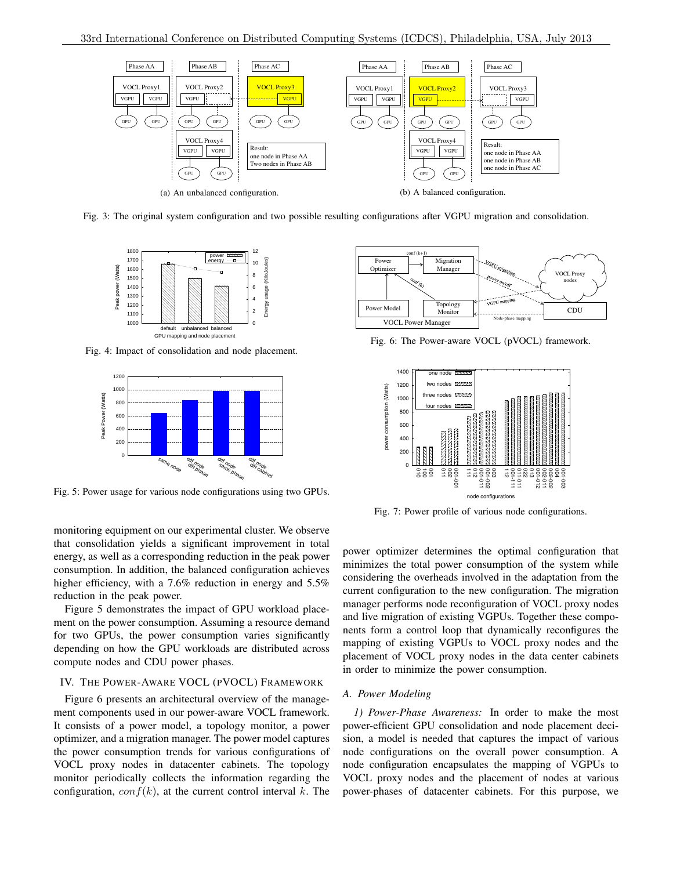

Fig. 3: The original system configuration and two possible resulting configurations after VGPU migration and consolidation.



Fig. 4: Impact of consolidation and node placement.



Fig. 5: Power usage for various node configurations using two GPUs.



Fig. 6: The Power-aware VOCL (pVOCL) framework.



Fig. 7: Power profile of various node configurations.

monitoring equipment on our experimental cluster. We observe that consolidation yields a significant improvement in total energy, as well as a corresponding reduction in the peak power consumption. In addition, the balanced configuration achieves higher efficiency, with a 7.6% reduction in energy and 5.5% reduction in the peak power.

Figure 5 demonstrates the impact of GPU workload placement on the power consumption. Assuming a resource demand for two GPUs, the power consumption varies significantly depending on how the GPU workloads are distributed across compute nodes and CDU power phases.

## IV. THE POWER-AWARE VOCL (PVOCL) FRAMEWORK

Figure 6 presents an architectural overview of the management components used in our power-aware VOCL framework. It consists of a power model, a topology monitor, a power optimizer, and a migration manager. The power model captures the power consumption trends for various configurations of VOCL proxy nodes in datacenter cabinets. The topology monitor periodically collects the information regarding the configuration,  $conf(k)$ , at the current control interval k. The

power optimizer determines the optimal configuration that minimizes the total power consumption of the system while considering the overheads involved in the adaptation from the current configuration to the new configuration. The migration manager performs node reconfiguration of VOCL proxy nodes and live migration of existing VGPUs. Together these components form a control loop that dynamically reconfigures the mapping of existing VGPUs to VOCL proxy nodes and the placement of VOCL proxy nodes in the data center cabinets in order to minimize the power consumption.

## *A. Power Modeling*

*1) Power-Phase Awareness:* In order to make the most power-efficient GPU consolidation and node placement decision, a model is needed that captures the impact of various node configurations on the overall power consumption. A node configuration encapsulates the mapping of VGPUs to VOCL proxy nodes and the placement of nodes at various power-phases of datacenter cabinets. For this purpose, we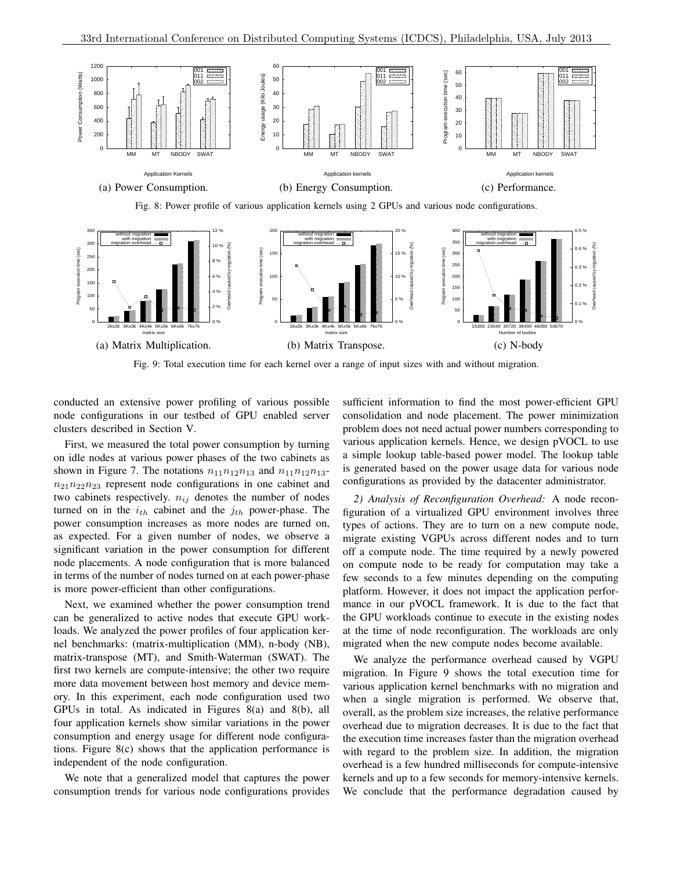

Fig. 9: Total execution time for each kernel over a range of input sizes with and without migration.

conducted an extensive power profiling of various possible node configurations in our testbed of GPU enabled server clusters described in Section V.

First, we measured the total power consumption by turning on idle nodes at various power phases of the two cabinets as shown in Figure 7. The notations  $n_{11}n_{12}n_{13}$  and  $n_{11}n_{12}n_{13}$  $n_{21}n_{22}n_{23}$  represent node configurations in one cabinet and two cabinets respectively.  $n_{ij}$  denotes the number of nodes turned on in the  $i_{th}$  cabinet and the  $j_{th}$  power-phase. The power consumption increases as more nodes are turned on, as expected. For a given number of nodes, we observe a significant variation in the power consumption for different node placements. A node configuration that is more balanced in terms of the number of nodes turned on at each power-phase is more power-efficient than other configurations.

Next, we examined whether the power consumption trend can be generalized to active nodes that execute GPU workloads. We analyzed the power profiles of four application kernel benchmarks: (matrix-multiplication (MM), n-body (NB), matrix-transpose (MT), and Smith-Waterman (SWAT). The first two kernels are compute-intensive; the other two require more data movement between host memory and device memory. In this experiment, each node configuration used two GPUs in total. As indicated in Figures 8(a) and 8(b), all four application kernels show similar variations in the power consumption and energy usage for different node configurations. Figure 8(c) shows that the application performance is independent of the node configuration.

We note that a generalized model that captures the power consumption trends for various node configurations provides sufficient information to find the most power-efficient GPU consolidation and node placement. The power minimization problem does not need actual power numbers corresponding to various application kernels. Hence, we design pVOCL to use a simple lookup table-based power model. The lookup table is generated based on the power usage data for various node configurations as provided by the datacenter administrator.

*2) Analysis of Reconfiguration Overhead:* A node reconfiguration of a virtualized GPU environment involves three types of actions. They are to turn on a new compute node, migrate existing VGPUs across different nodes and to turn off a compute node. The time required by a newly powered on compute node to be ready for computation may take a few seconds to a few minutes depending on the computing platform. However, it does not impact the application performance in our pVOCL framework. It is due to the fact that the GPU workloads continue to execute in the existing nodes at the time of node reconfiguration. The workloads are only migrated when the new compute nodes become available.

We analyze the performance overhead caused by VGPU migration. In Figure 9 shows the total execution time for various application kernel benchmarks with no migration and when a single migration is performed. We observe that, overall, as the problem size increases, the relative performance overhead due to migration decreases. It is due to the fact that the execution time increases faster than the migration overhead with regard to the problem size. In addition, the migration overhead is a few hundred milliseconds for compute-intensive kernels and up to a few seconds for memory-intensive kernels. We conclude that the performance degradation caused by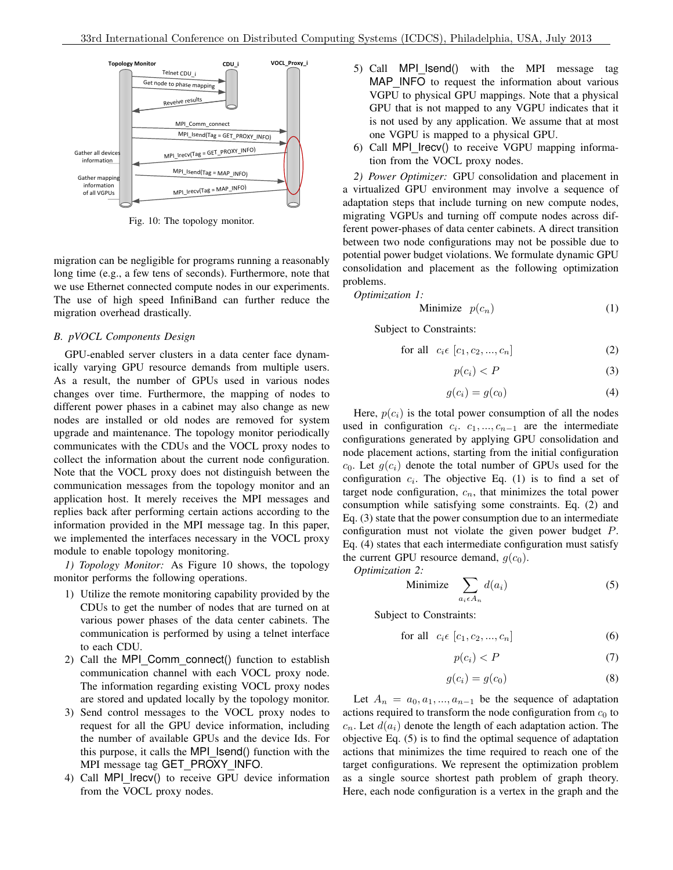

Fig. 10: The topology monitor.

migration can be negligible for programs running a reasonably long time (e.g., a few tens of seconds). Furthermore, note that we use Ethernet connected compute nodes in our experiments. The use of high speed InfiniBand can further reduce the migration overhead drastically.

## *B. pVOCL Components Design*

GPU-enabled server clusters in a data center face dynamically varying GPU resource demands from multiple users. As a result, the number of GPUs used in various nodes changes over time. Furthermore, the mapping of nodes to different power phases in a cabinet may also change as new nodes are installed or old nodes are removed for system upgrade and maintenance. The topology monitor periodically communicates with the CDUs and the VOCL proxy nodes to collect the information about the current node configuration. Note that the VOCL proxy does not distinguish between the communication messages from the topology monitor and an application host. It merely receives the MPI messages and replies back after performing certain actions according to the information provided in the MPI message tag. In this paper, we implemented the interfaces necessary in the VOCL proxy module to enable topology monitoring.

*1) Topology Monitor:* As Figure 10 shows, the topology monitor performs the following operations.

- 1) Utilize the remote monitoring capability provided by the CDUs to get the number of nodes that are turned on at various power phases of the data center cabinets. The communication is performed by using a telnet interface to each CDU.
- 2) Call the MPI Comm connect() function to establish communication channel with each VOCL proxy node. The information regarding existing VOCL proxy nodes are stored and updated locally by the topology monitor.
- 3) Send control messages to the VOCL proxy nodes to request for all the GPU device information, including the number of available GPUs and the device Ids. For this purpose, it calls the MPI Isend() function with the MPI message tag GET PROXY INFO.
- 4) Call MPI\_Irecv() to receive GPU device information from the VOCL proxy nodes.
- 5) Call MPI Isend() with the MPI message tag MAP\_INFO to request the information about various VGPU to physical GPU mappings. Note that a physical GPU that is not mapped to any VGPU indicates that it is not used by any application. We assume that at most one VGPU is mapped to a physical GPU.
- 6) Call MPI Irecv() to receive VGPU mapping information from the VOCL proxy nodes.

*2) Power Optimizer:* GPU consolidation and placement in a virtualized GPU environment may involve a sequence of adaptation steps that include turning on new compute nodes, migrating VGPUs and turning off compute nodes across different power-phases of data center cabinets. A direct transition between two node configurations may not be possible due to potential power budget violations. We formulate dynamic GPU consolidation and placement as the following optimization problems.

*Optimization 1:*

Minimize 
$$
p(c_n)
$$
 (1)

Subject to Constraints:

$$
\text{for all } c_i \in [c_1, c_2, \dots, c_n] \tag{2}
$$

$$
p(c_i) < P \tag{3}
$$

$$
g(c_i) = g(c_0) \tag{4}
$$

consumption while satisfying some constraints. Eq.  $(2)$  and Here,  $p(c_i)$  is the total power consumption of all the nodes used in configuration  $c_i$ .  $c_1, ..., c_{n-1}$  are the intermediate configurations generated by applying GPU consolidation and node placement actions, starting from the initial configuration  $c_0$ . Let  $g(c_i)$  denote the total number of GPUs used for the configuration  $c_i$ . The objective Eq. (1) is to find a set of target node configuration,  $c_n$ , that minimizes the total power Eq. (3) state that the power consumption due to an intermediate configuration must not violate the given power budget P. Eq. (4) states that each intermediate configuration must satisfy the current GPU resource demand,  $q(c_0)$ .

*Optimization 2:*

Minimize 
$$
\sum_{a_i \in A_n} d(a_i)
$$
 (5)

Subject to Constraints:

for all 
$$
c_i \in [c_1, c_2, ..., c_n]
$$
 (6)

$$
p(c_i) < P \tag{7}
$$

$$
g(c_i) = g(c_0) \tag{8}
$$

Let  $A_n = a_0, a_1, \ldots, a_{n-1}$  be the sequence of adaptation actions required to transform the node configuration from  $c_0$  to  $c_n$ . Let  $d(a_i)$  denote the length of each adaptation action. The objective Eq. (5) is to find the optimal sequence of adaptation actions that minimizes the time required to reach one of the target configurations. We represent the optimization problem as a single source shortest path problem of graph theory. Here, each node configuration is a vertex in the graph and the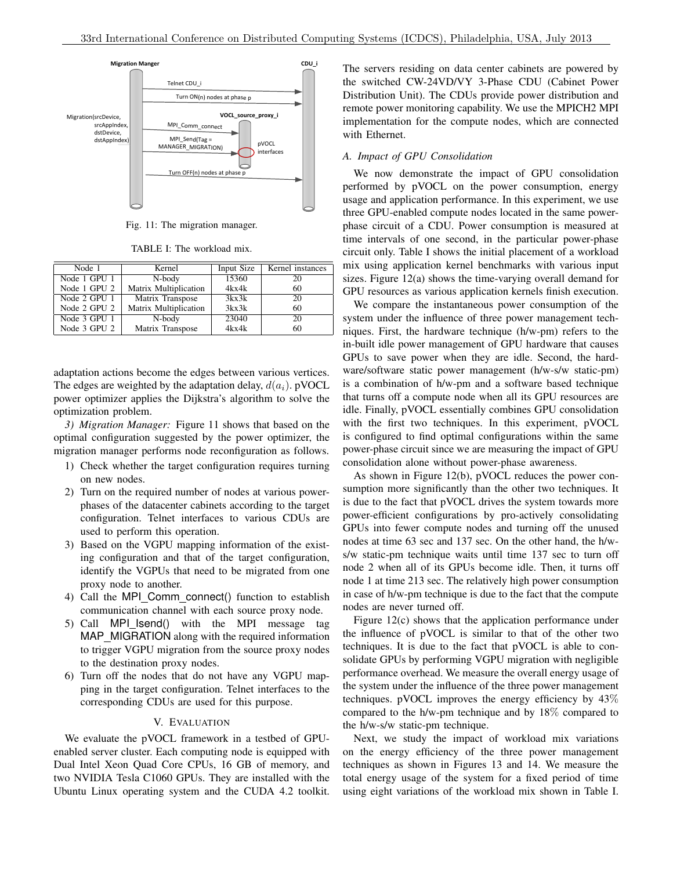

Fig. 11: The migration manager.

TABLE I: The workload mix.

| Node 1       | Kernel                | Input Size | Kernel instances |
|--------------|-----------------------|------------|------------------|
| Node 1 GPU 1 | N-body                | 15360      | 20               |
| Node 1 GPU 2 | Matrix Multiplication | 4kx4k      | 60               |
| Node 2 GPU 1 | Matrix Transpose      | 3kx3k      | 20               |
| Node 2 GPU 2 | Matrix Multiplication | 3kx3k      | 60               |
| Node 3 GPU 1 | N-body                | 23040      | 20               |
| Node 3 GPU 2 | Matrix Transpose      | 4kx4k      | 60               |

adaptation actions become the edges between various vertices. The edges are weighted by the adaptation delay,  $d(a_i)$ . pVOCL power optimizer applies the Dijkstra's algorithm to solve the optimization problem.

*3) Migration Manager:* Figure 11 shows that based on the optimal configuration suggested by the power optimizer, the migration manager performs node reconfiguration as follows.

- 1) Check whether the target configuration requires turning on new nodes.
- 2) Turn on the required number of nodes at various powerphases of the datacenter cabinets according to the target configuration. Telnet interfaces to various CDUs are used to perform this operation.
- 3) Based on the VGPU mapping information of the existing configuration and that of the target configuration, identify the VGPUs that need to be migrated from one proxy node to another.
- 4) Call the MPI\_Comm\_connect() function to establish communication channel with each source proxy node.
- 5) Call MPI Isend() with the MPI message tag MAP\_MIGRATION along with the required information to trigger VGPU migration from the source proxy nodes to the destination proxy nodes.
- 6) Turn off the nodes that do not have any VGPU mapping in the target configuration. Telnet interfaces to the corresponding CDUs are used for this purpose.

#### V. EVALUATION

We evaluate the pVOCL framework in a testbed of GPUenabled server cluster. Each computing node is equipped with Dual Intel Xeon Quad Core CPUs, 16 GB of memory, and two NVIDIA Tesla C1060 GPUs. They are installed with the Ubuntu Linux operating system and the CUDA 4.2 toolkit. The servers residing on data center cabinets are powered by the switched CW-24VD/VY 3-Phase CDU (Cabinet Power Distribution Unit). The CDUs provide power distribution and remote power monitoring capability. We use the MPICH2 MPI implementation for the compute nodes, which are connected with Ethernet.

## *A. Impact of GPU Consolidation*

We now demonstrate the impact of GPU consolidation performed by pVOCL on the power consumption, energy usage and application performance. In this experiment, we use three GPU-enabled compute nodes located in the same powerphase circuit of a CDU. Power consumption is measured at time intervals of one second, in the particular power-phase circuit only. Table I shows the initial placement of a workload mix using application kernel benchmarks with various input sizes. Figure 12(a) shows the time-varying overall demand for GPU resources as various application kernels finish execution.

system under the influence of three power management techniques. First, the hardware technique (h/w-pm) refers to the We compare the instantaneous power consumption of the system under the influence of three power management techin-built idle power management of GPU hardware that causes GPUs to save power when they are idle. Second, the hardware/software static power management (h/w-s/w static-pm) is a combination of h/w-pm and a software based technique that turns off a compute node when all its GPU resources are idle. Finally, pVOCL essentially combines GPU consolidation with the first two techniques. In this experiment, pVOCL is configured to find optimal configurations within the same power-phase circuit since we are measuring the impact of GPU consolidation alone without power-phase awareness.

As shown in Figure 12(b), pVOCL reduces the power consumption more significantly than the other two techniques. It is due to the fact that pVOCL drives the system towards more power-efficient configurations by pro-actively consolidating GPUs into fewer compute nodes and turning off the unused nodes at time 63 sec and 137 sec. On the other hand, the h/ws/w static-pm technique waits until time 137 sec to turn off node 2 when all of its GPUs become idle. Then, it turns off node 1 at time 213 sec. The relatively high power consumption in case of h/w-pm technique is due to the fact that the compute nodes are never turned off.

Figure 12(c) shows that the application performance under the influence of pVOCL is similar to that of the other two techniques. It is due to the fact that pVOCL is able to consolidate GPUs by performing VGPU migration with negligible performance overhead. We measure the overall energy usage of the system under the influence of the three power management techniques. pVOCL improves the energy efficiency by 43% compared to the h/w-pm technique and by 18% compared to the h/w-s/w static-pm technique.

Next, we study the impact of workload mix variations on the energy efficiency of the three power management techniques as shown in Figures 13 and 14. We measure the total energy usage of the system for a fixed period of time using eight variations of the workload mix shown in Table I.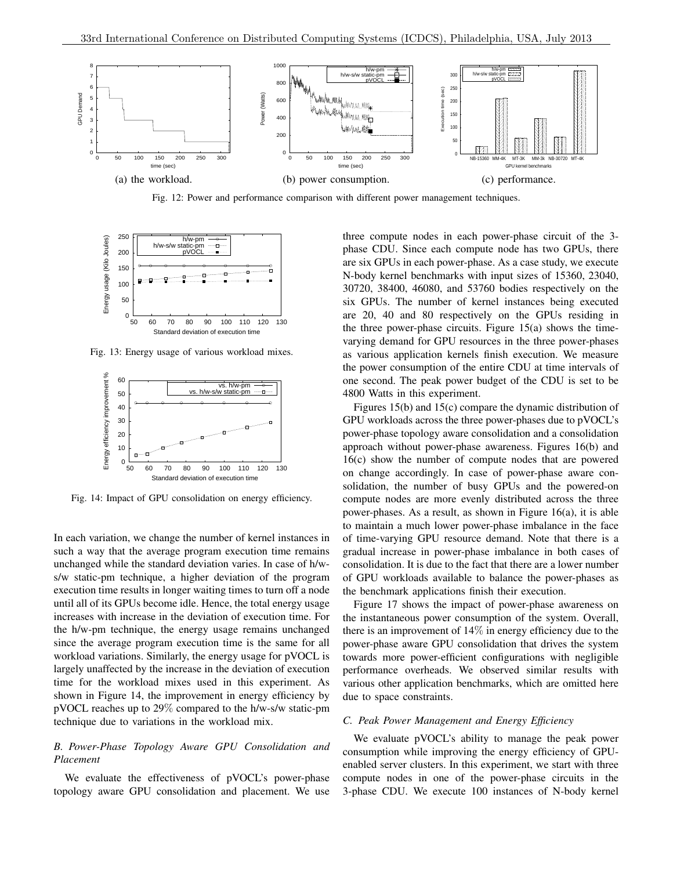

Fig. 12: Power and performance comparison with different power management techniques.



Fig. 13: Energy usage of various workload mixes.



Fig. 14: Impact of GPU consolidation on energy efficiency.

In each variation, we change the number of kernel instances in such a way that the average program execution time remains unchanged while the standard deviation varies. In case of h/ws/w static-pm technique, a higher deviation of the program execution time results in longer waiting times to turn off a node until all of its GPUs become idle. Hence, the total energy usage increases with increase in the deviation of execution time. For the h/w-pm technique, the energy usage remains unchanged since the average program execution time is the same for all workload variations. Similarly, the energy usage for pVOCL is largely unaffected by the increase in the deviation of execution time for the workload mixes used in this experiment. As shown in Figure 14, the improvement in energy efficiency by pVOCL reaches up to 29% compared to the h/w-s/w static-pm technique due to variations in the workload mix.

## *B. Power-Phase Topology Aware GPU Consolidation and Placement*

We evaluate the effectiveness of pVOCL's power-phase topology aware GPU consolidation and placement. We use three compute nodes in each power-phase circuit of the 3 phase CDU. Since each compute node has two GPUs, there are six GPUs in each power-phase. As a case study, we execute N-body kernel benchmarks with input sizes of 15360, 23040, 30720, 38400, 46080, and 53760 bodies respectively on the six GPUs. The number of kernel instances being executed are 20, 40 and 80 respectively on the GPUs residing in the three power-phase circuits. Figure  $15(a)$  shows the timevarying demand for GPU resources in the three power-phases as various application kernels finish execution. We measure the power consumption of the entire CDU at time intervals of one second. The peak power budget of the CDU is set to be 4800 Watts in this experiment.

Figures 15(b) and 15(c) compare the dynamic distribution of GPU workloads across the three power-phases due to pVOCL's power-phase topology aware consolidation and a consolidation approach without power-phase awareness. Figures 16(b) and 16(c) show the number of compute nodes that are powered on change accordingly. In case of power-phase aware consolidation, the number of busy GPUs and the powered-on compute nodes are more evenly distributed across the three power-phases. As a result, as shown in Figure 16(a), it is able to maintain a much lower power-phase imbalance in the face of time-varying GPU resource demand. Note that there is a gradual increase in power-phase imbalance in both cases of consolidation. It is due to the fact that there are a lower number of GPU workloads available to balance the power-phases as the benchmark applications finish their execution.

Figure 17 shows the impact of power-phase awareness on the instantaneous power consumption of the system. Overall, there is an improvement of 14% in energy efficiency due to the power-phase aware GPU consolidation that drives the system towards more power-efficient configurations with negligible performance overheads. We observed similar results with various other application benchmarks, which are omitted here due to space constraints.

#### *C. Peak Power Management and Energy Efficiency*

We evaluate pVOCL's ability to manage the peak power consumption while improving the energy efficiency of GPUenabled server clusters. In this experiment, we start with three compute nodes in one of the power-phase circuits in the 3-phase CDU. We execute 100 instances of N-body kernel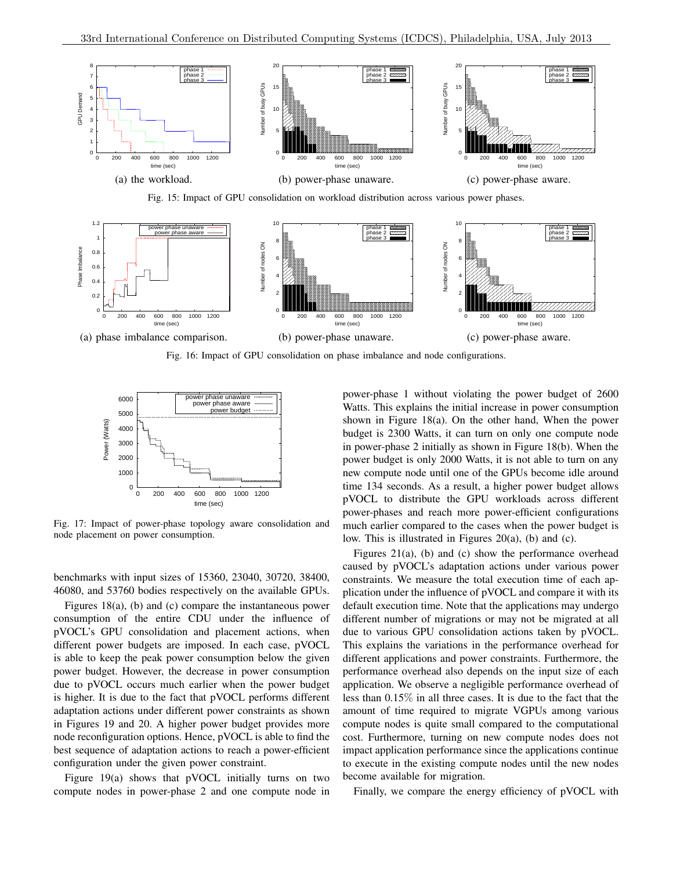

Fig. 15: Impact of GPU consolidation on workload distribution across various power phases.



Fig. 16: Impact of GPU consolidation on phase imbalance and node configurations.



Fig. 17: Impact of power-phase topology aware consolidation and node placement on power consumption.

benchmarks with input sizes of 15360, 23040, 30720, 38400, 46080, and 53760 bodies respectively on the available GPUs.

Figures 18(a), (b) and (c) compare the instantaneous power consumption of the entire CDU under the influence of pVOCL's GPU consolidation and placement actions, when different power budgets are imposed. In each case, pVOCL is able to keep the peak power consumption below the given power budget. However, the decrease in power consumption due to pVOCL occurs much earlier when the power budget is higher. It is due to the fact that pVOCL performs different adaptation actions under different power constraints as shown in Figures 19 and 20. A higher power budget provides more node reconfiguration options. Hence, pVOCL is able to find the best sequence of adaptation actions to reach a power-efficient configuration under the given power constraint.

Figure 19(a) shows that pVOCL initially turns on two compute nodes in power-phase 2 and one compute node in power-phase 1 without violating the power budget of 2600 Watts. This explains the initial increase in power consumption shown in Figure 18(a). On the other hand, When the power budget is 2300 Watts, it can turn on only one compute node in power-phase 2 initially as shown in Figure 18(b). When the power budget is only 2000 Watts, it is not able to turn on any new compute node until one of the GPUs become idle around time 134 seconds. As a result, a higher power budget allows pVOCL to distribute the GPU workloads across different power-phases and reach more power-efficient configurations much earlier compared to the cases when the power budget is low. This is illustrated in Figures 20(a), (b) and (c).

Figures 21(a), (b) and (c) show the performance overhead caused by pVOCL's adaptation actions under various power constraints. We measure the total execution time of each application under the influence of pVOCL and compare it with its default execution time. Note that the applications may undergo different number of migrations or may not be migrated at all due to various GPU consolidation actions taken by pVOCL. This explains the variations in the performance overhead for different applications and power constraints. Furthermore, the performance overhead also depends on the input size of each application. We observe a negligible performance overhead of less than 0.15% in all three cases. It is due to the fact that the amount of time required to migrate VGPUs among various compute nodes is quite small compared to the computational cost. Furthermore, turning on new compute nodes does not impact application performance since the applications continue to execute in the existing compute nodes until the new nodes become available for migration.

Finally, we compare the energy efficiency of pVOCL with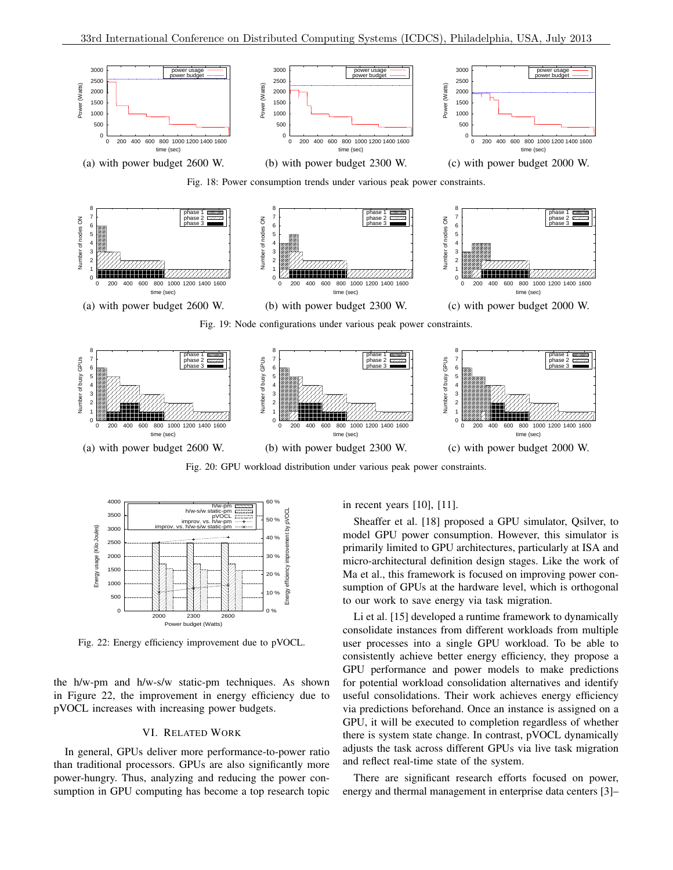

(a) with power budget 2600 W. (b) with power budget 2300 W. (c) with power budget 2000 W.

Fig. 20: GPU workload distribution under various peak power constraints.



Fig. 22: Energy efficiency improvement due to pVOCL.

the h/w-pm and h/w-s/w static-pm techniques. As shown in Figure 22, the improvement in energy efficiency due to pVOCL increases with increasing power budgets.

#### VI. RELATED WORK

In general, GPUs deliver more performance-to-power ratio than traditional processors. GPUs are also significantly more power-hungry. Thus, analyzing and reducing the power consumption in GPU computing has become a top research topic

# in recent years [10], [11].

Sheaffer et al. [18] proposed a GPU simulator, Qsilver, to model GPU power consumption. However, this simulator is primarily limited to GPU architectures, particularly at ISA and micro-architectural definition design stages. Like the work of Ma et al., this framework is focused on improving power consumption of GPUs at the hardware level, which is orthogonal to our work to save energy via task migration.

Li et al. [15] developed a runtime framework to dynamically consolidate instances from different workloads from multiple user processes into a single GPU workload. To be able to consistently achieve better energy efficiency, they propose a GPU performance and power models to make predictions for potential workload consolidation alternatives and identify useful consolidations. Their work achieves energy efficiency via predictions beforehand. Once an instance is assigned on a GPU, it will be executed to completion regardless of whether there is system state change. In contrast, pVOCL dynamically adjusts the task across different GPUs via live task migration and reflect real-time state of the system.

There are significant research efforts focused on power, energy and thermal management in enterprise data centers [3]–